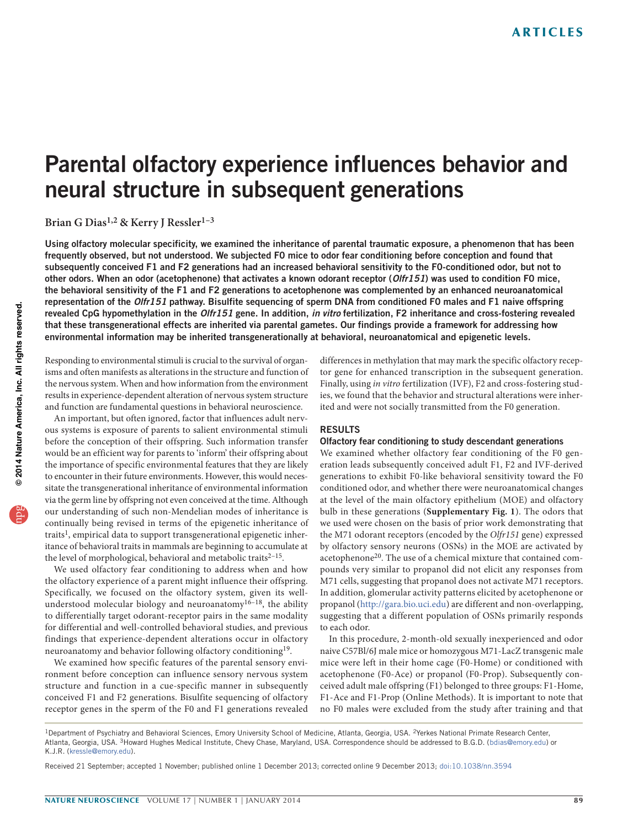# Parental olfactory experience influences behavior and neural structure in subsequent generations

Brian G Dias<sup>1,2</sup> & Kerry J Ressler<sup>1-3</sup>

Using olfactory molecular specificity, we examined the inheritance of parental traumatic exposure, a phenomenon that has been frequently observed, but not understood. We subjected F0 mice to odor fear conditioning before conception and found that subsequently conceived F1 and F2 generations had an increased behavioral sensitivity to the F0-conditioned odor, but not to other odors. When an odor (acetophenone) that activates a known odorant receptor (Olfr151) was used to condition F0 mice, the behavioral sensitivity of the F1 and F2 generations to acetophenone was complemented by an enhanced neuroanatomical representation of the Olfr151 pathway. Bisulfite sequencing of sperm DNA from conditioned F0 males and F1 naive offspring revealed CpG hypomethylation in the Olfr151 gene. In addition, in vitro fertilization, F2 inheritance and cross-fostering revealed that these transgenerational effects are inherited via parental gametes. Our findings provide a framework for addressing how environmental information may be inherited transgenerationally at behavioral, neuroanatomical and epigenetic levels.

Responding to environmental stimuli is crucial to the survival of organisms and often manifests as alterations in the structure and function of the nervous system. When and how information from the environment results in experience-dependent alteration of nervous system structure and function are fundamental questions in behavioral neuroscience.

An important, but often ignored, factor that influences adult nervous systems is exposure of parents to salient environmental stimuli before the conception of their offspring. Such information transfer would be an efficient way for parents to 'inform' their offspring about the importance of specific environmental features that they are likely to encounter in their future environments. However, this would necessitate the transgenerational inheritance of environmental information via the germ line by offspring not even conceived at the time. Although our understanding of such non-Mendelian modes of inheritance is continually being revised in terms of the epigenetic inheritance of traits<sup>1</sup>, empirical data to support transgenerational epigenetic inheritance of behavioral traits in mammals are beginning to accumulate at the level of morphological, behavioral and metabolic traits $2-15$ .

We used olfactory fear conditioning to address when and how the olfactory experience of a parent might influence their offspring. Specifically, we focused on the olfactory system, given its wellunderstood molecular biology and neuroanatomy $16-18$  $16-18$ , the ability to differentially target odorant-receptor pairs in the same modality for differential and well-controlled behavioral studies, and previous findings that experience-dependent alterations occur in olfactory neuroanatomy and behavior following olfactory conditioning[19](#page-6-5).

We examined how specific features of the parental sensory environment before conception can influence sensory nervous system structure and function in a cue-specific manner in subsequently conceived F1 and F2 generations. Bisulfite sequencing of olfactory receptor genes in the sperm of the F0 and F1 generations revealed

differences in methylation that may mark the specific olfactory receptor gene for enhanced transcription in the subsequent generation. Finally, using in vitro fertilization (IVF), F2 and cross-fostering studies, we found that the behavior and structural alterations were inherited and were not socially transmitted from the F0 generation.

#### RESULTS

### Olfactory fear conditioning to study descendant generations

We examined whether olfactory fear conditioning of the F0 generation leads subsequently conceived adult F1, F2 and IVF-derived generations to exhibit F0-like behavioral sensitivity toward the F0 conditioned odor, and whether there were neuroanatomical changes at the level of the main olfactory epithelium (MOE) and olfactory bulb in these generations (**Supplementary Fig. 1**). The odors that we used were chosen on the basis of prior work demonstrating that the M71 odorant receptors (encoded by the Olfr151 gene) expressed by olfactory sensory neurons (OSNs) in the MOE are activated by acetophenone<sup>20</sup>. The use of a chemical mixture that contained compounds very similar to propanol did not elicit any responses from M71 cells, suggesting that propanol does not activate M71 receptors. In addition, glomerular activity patterns elicited by acetophenone or propanol (<http://gara.bio.uci.edu>) are different and non-overlapping, suggesting that a different population of OSNs primarily responds to each odor.

In this procedure, 2-month-old sexually inexperienced and odor naive C57Bl/6J male mice or homozygous M71-LacZ transgenic male mice were left in their home cage (F0-Home) or conditioned with acetophenone (F0-Ace) or propanol (F0-Prop). Subsequently conceived adult male offspring (F1) belonged to three groups: F1-Home, F1-Ace and F1-Prop (Online Methods). It is important to note that no F0 males were excluded from the study after training and that

<sup>&</sup>lt;sup>1</sup>Department of Psychiatry and Behavioral Sciences, Emory University School of Medicine, Atlanta, Georgia, USA. <sup>2</sup>Yerkes National Primate Research Center, Atlanta, Georgia, USA. 3Howard Hughes Medical Institute, Chevy Chase, Maryland, USA. Correspondence should be addressed to B.G.D. (bdias@emory.edu) or K.J.R. (kressle@emory.edu).

Received 21 September; accepted 1 November; published online 1 December 2013; corrected online 9 December 2013; [doi:10.1038/nn.3594](http://www.nature.com/doifinder/10.1038/nn.3594)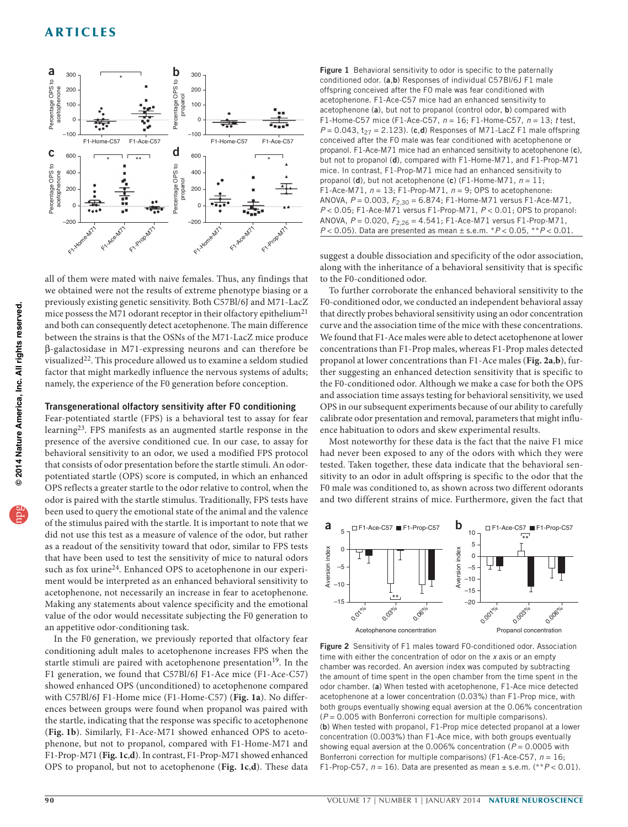

all of them were mated with naive females. Thus, any findings that we obtained were not the results of extreme phenotype biasing or a previously existing genetic sensitivity. Both C57Bl/6J and M71-LacZ mice possess the M71 odorant receptor in their olfactory epithelium<sup>[21](#page-7-0)</sup> and both can consequently detect acetophenone. The main difference between the strains is that the OSNs of the M71-LacZ mice produce B-galactosidase in M71-expressing neurons and can therefore be visualized<sup>22</sup>. This procedure allowed us to examine a seldom studied factor that might markedly influence the nervous systems of adults; namely, the experience of the F0 generation before conception.

### Transgenerational olfactory sensitivity after F0 conditioning

Fear-potentiated startle (FPS) is a behavioral test to assay for fear learning[23](#page-7-2). FPS manifests as an augmented startle response in the presence of the aversive conditioned cue. In our case, to assay for behavioral sensitivity to an odor, we used a modified FPS protocol that consists of odor presentation before the startle stimuli. An odorpotentiated startle (OPS) score is computed, in which an enhanced OPS reflects a greater startle to the odor relative to control, when the odor is paired with the startle stimulus. Traditionally, FPS tests have been used to query the emotional state of the animal and the valence of the stimulus paired with the startle. It is important to note that we did not use this test as a measure of valence of the odor, but rather as a readout of the sensitivity toward that odor, similar to FPS tests that have been used to test the sensitivity of mice to natural odors such as fox urine<sup>24</sup>. Enhanced OPS to acetophenone in our experiment would be interpreted as an enhanced behavioral sensitivity to acetophenone, not necessarily an increase in fear to acetophenone. Making any statements about valence specificity and the emotional value of the odor would necessitate subjecting the F0 generation to an appetitive odor-conditioning task.

In the F0 generation, we previously reported that olfactory fear conditioning adult males to acetophenone increases FPS when the startle stimuli are paired with acetophenone presentation<sup>19</sup>. In the F1 generation, we found that C57Bl/6J F1-Ace mice (F1-Ace-C57) showed enhanced OPS (unconditioned) to acetophenone compared with C57Bl/6J F1-Home mice (F1-Home-C57) (**[Fig. 1a](#page-1-0)**). No differences between groups were found when propanol was paired with the startle, indicating that the response was specific to acetophenone (**[Fig.](#page-1-0) 1b**). Similarly, F1-Ace-M71 showed enhanced OPS to acetophenone, but not to propanol, compared with F1-Home-M71 and F1-Prop-M71 (**[Fig. 1c](#page-1-0)**,**d**). In contrast, F1-Prop-M71 showed enhanced OPS to propanol, but not to acetophenone (**[Fig. 1c](#page-1-0)**,**d**). These data

<span id="page-1-0"></span>Figure 1 Behavioral sensitivity to odor is specific to the paternally conditioned odor. (a,b) Responses of individual C57Bl/6J F1 male offspring conceived after the F0 male was fear conditioned with acetophenone. F1-Ace-C57 mice had an enhanced sensitivity to acetophenone (a), but not to propanol (control odor, b) compared with F1-Home-C57 mice (F1-Ace-C57,  $n = 16$ ; F1-Home-C57,  $n = 13$ ; t test,  $P = 0.043$ ,  $t_{27} = 2.123$ ). (c,d) Responses of M71-LacZ F1 male offspring conceived after the F0 male was fear conditioned with acetophenone or propanol. F1-Ace-M71 mice had an enhanced sensitivity to acetophenone (c), but not to propanol (d), compared with F1-Home-M71, and F1-Prop-M71 mice. In contrast, F1-Prop-M71 mice had an enhanced sensitivity to propanol (d), but not acetophenone (c) (F1-Home-M71,  $n = 11$ ; F1-Ace-M71,  $n = 13$ ; F1-Prop-M71,  $n = 9$ ; OPS to acetophenone: ANOVA,  $P = 0.003$ ,  $F_{2,30} = 6.874$ ; F1-Home-M71 versus F1-Ace-M71,  $P < 0.05$ ; F1-Ace-M71 versus F1-Prop-M71,  $P < 0.01$ ; OPS to propanol: ANOVA,  $P = 0.020$ ,  $F_{2,26} = 4.541$ ; F1-Ace-M71 versus F1-Prop-M71,  $P < 0.05$ ). Data are presented as mean  $\pm$  s.e.m. \* $P < 0.05$ , \*\* $P < 0.01$ .

suggest a double dissociation and specificity of the odor association, along with the inheritance of a behavioral sensitivity that is specific to the F0-conditioned odor.

To further corroborate the enhanced behavioral sensitivity to the F0-conditioned odor, we conducted an independent behavioral assay that directly probes behavioral sensitivity using an odor concentration curve and the association time of the mice with these concentrations. We found that F1-Ace males were able to detect acetophenone at lower concentrations than F1-Prop males, whereas F1-Prop males detected propanol at lower concentrations than F1-Ace males (**[Fig. 2a](#page-1-1)**,**b**), further suggesting an enhanced detection sensitivity that is specific to the F0-conditioned odor. Although we make a case for both the OPS and association time assays testing for behavioral sensitivity, we used OPS in our subsequent experiments because of our ability to carefully calibrate odor presentation and removal, parameters that might influence habituation to odors and skew experimental results.

Most noteworthy for these data is the fact that the naive F1 mice had never been exposed to any of the odors with which they were tested. Taken together, these data indicate that the behavioral sensitivity to an odor in adult offspring is specific to the odor that the F0 male was conditioned to, as shown across two different odorants and two different strains of mice. Furthermore, given the fact that



<span id="page-1-1"></span>Figure 2 Sensitivity of F1 males toward F0-conditioned odor. Association time with either the concentration of odor on the x axis or an empty chamber was recorded. An aversion index was computed by subtracting the amount of time spent in the open chamber from the time spent in the odor chamber. (a) When tested with acetophenone, F1-Ace mice detected acetophenone at a lower concentration (0.03%) than F1-Prop mice, with both groups eventually showing equal aversion at the 0.06% concentration  $(P = 0.005$  with Bonferroni correction for multiple comparisons). (b) When tested with propanol, F1-Prop mice detected propanol at a lower concentration (0.003%) than F1-Ace mice, with both groups eventually showing equal aversion at the  $0.006\%$  concentration ( $P = 0.0005$  with Bonferroni correction for multiple comparisons) (F1-Ace-C57,  $n = 16$ ; F1-Prop-C57,  $n = 16$ ). Data are presented as mean  $\pm$  s.e.m. (\*\*  $P < 0.01$ ).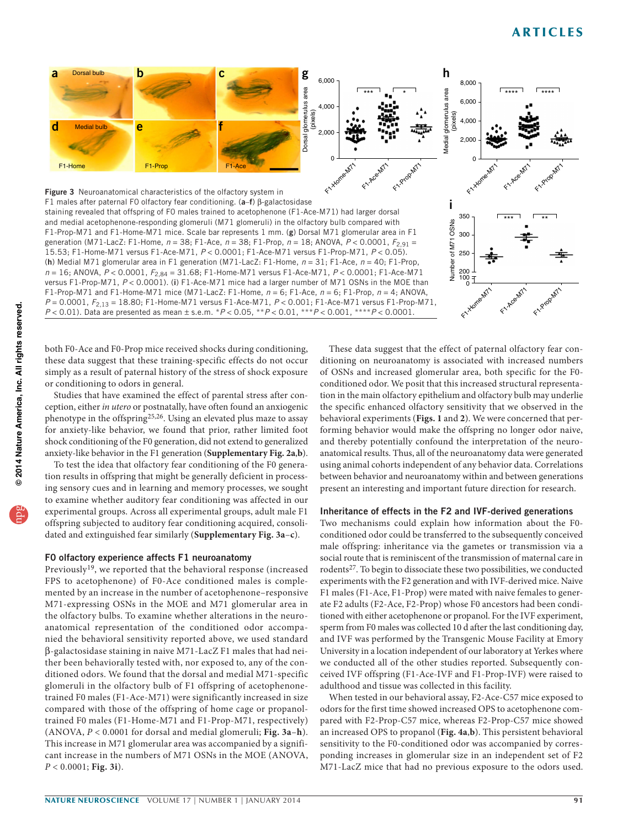<span id="page-2-0"></span>

both F0-Ace and F0-Prop mice received shocks during conditioning, these data suggest that these training-specific effects do not occur simply as a result of paternal history of the stress of shock exposure or conditioning to odors in general.

Studies that have examined the effect of parental stress after conception, either in utero or postnatally, have often found an anxiogenic phenotype in the offspring<sup>[25,](#page-7-4)[26](#page-7-5)</sup>. Using an elevated plus maze to assay for anxiety-like behavior, we found that prior, rather limited foot shock conditioning of the F0 generation, did not extend to generalized anxiety-like behavior in the F1 generation (**Supplementary Fig. 2a**,**b**).

To test the idea that olfactory fear conditioning of the F0 generation results in offspring that might be generally deficient in processing sensory cues and in learning and memory processes, we sought to examine whether auditory fear conditioning was affected in our experimental groups. Across all experimental groups, adult male F1 offspring subjected to auditory fear conditioning acquired, consolidated and extinguished fear similarly (**Supplementary Fig. 3a**–**c**).

### F0 olfactory experience affects F1 neuroanatomy

Previously<sup>[19](#page-6-5)</sup>, we reported that the behavioral response (increased FPS to acetophenone) of F0-Ace conditioned males is complemented by an increase in the number of acetophenone–responsive M71-expressing OSNs in the MOE and M71 glomerular area in the olfactory bulbs. To examine whether alterations in the neuroanatomical representation of the conditioned odor accompanied the behavioral sensitivity reported above, we used standard B-galactosidase staining in naive M71-LacZ F1 males that had neither been behaviorally tested with, nor exposed to, any of the conditioned odors. We found that the dorsal and medial M71-specific glomeruli in the olfactory bulb of F1 offspring of acetophenonetrained F0 males (F1-Ace-M71) were significantly increased in size compared with those of the offspring of home cage or propanoltrained F0 males (F1-Home-M71 and F1-Prop-M71, respectively) (ANOVA, P < 0.0001 for dorsal and medial glomeruli; **[Fig. 3a](#page-2-0)**–**h**). This increase in M71 glomerular area was accompanied by a significant increase in the numbers of M71 OSNs in the MOE (ANOVA, P < 0.0001; **[Fig. 3i](#page-2-0)**).

These data suggest that the effect of paternal olfactory fear conditioning on neuroanatomy is associated with increased numbers of OSNs and increased glomerular area, both specific for the F0 conditioned odor. We posit that this increased structural representation in the main olfactory epithelium and olfactory bulb may underlie the specific enhanced olfactory sensitivity that we observed in the behavioral experiments (**[Figs. 1](#page-1-0)** and **2**). We were concerned that performing behavior would make the offspring no longer odor naive, and thereby potentially confound the interpretation of the neuroanatomical results. Thus, all of the neuroanatomy data were generated using animal cohorts independent of any behavior data. Correlations between behavior and neuroanatomy within and between generations present an interesting and important future direction for research.

### Inheritance of effects in the F2 and IVF-derived generations

Two mechanisms could explain how information about the F0 conditioned odor could be transferred to the subsequently conceived male offspring: inheritance via the gametes or transmission via a social route that is reminiscent of the transmission of maternal care in rodents[27.](#page-7-6) To begin to dissociate these two possibilities, we conducted experiments with the F2 generation and with IVF-derived mice. Naive F1 males (F1-Ace, F1-Prop) were mated with naive females to generate F2 adults (F2-Ace, F2-Prop) whose F0 ancestors had been conditioned with either acetophenone or propanol. For the IVF experiment, sperm from F0 males was collected 10 d after the last conditioning day, and IVF was performed by the Transgenic Mouse Facility at Emory University in a location independent of our laboratory at Yerkes where we conducted all of the other studies reported. Subsequently conceived IVF offspring (F1-Ace-IVF and F1-Prop-IVF) were raised to adulthood and tissue was collected in this facility.

When tested in our behavioral assay, F2-Ace-C57 mice exposed to odors for the first time showed increased OPS to acetophenone compared with F2-Prop-C57 mice, whereas F2-Prop-C57 mice showed an increased OPS to propanol (**[Fig. 4a](#page-3-0)**,**b**). This persistent behavioral sensitivity to the F0-conditioned odor was accompanied by corresponding increases in glomerular size in an independent set of F2 M71-LacZ mice that had no previous exposure to the odors used.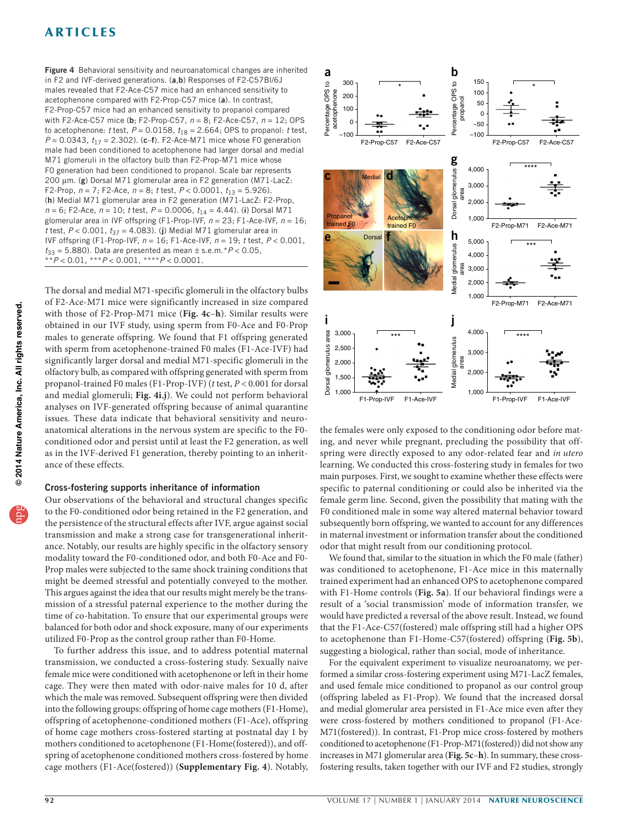<span id="page-3-0"></span>Figure 4 Behavioral sensitivity and neuroanatomical changes are inherited in F2 and IVF-derived generations. (a,b) Responses of F2-C57BI/6J males revealed that F2-Ace-C57 mice had an enhanced sensitivity to acetophenone compared with F2-Prop-C57 mice (a). In contrast, F2-Prop-C57 mice had an enhanced sensitivity to propanol compared with F2-Ace-C57 mice (b; F2-Prop-C57,  $n = 8$ ; F2-Ace-C57,  $n = 12$ ; OPS to acetophenone: t test,  $P = 0.0158$ ,  $t_{18} = 2.664$ ; OPS to propanol: t test,  $P = 0.0343$ ,  $t_{17} = 2.302$ ). (c-f). F2-Ace-M71 mice whose F0 generation male had been conditioned to acetophenone had larger dorsal and medial M71 glomeruli in the olfactory bulb than F2-Prop-M71 mice whose F0 generation had been conditioned to propanol. Scale bar represents 200 µm. (g) Dorsal M71 glomerular area in F2 generation (M71-LacZ: F2-Prop,  $n = 7$ ; F2-Ace,  $n = 8$ ; t test,  $P < 0.0001$ ,  $t_{13} = 5.926$ ). (h) Medial M71 glomerular area in F2 generation (M71-LacZ: F2-Prop,  $n = 6$ ; F2-Ace,  $n = 10$ ; t test,  $P = 0.0006$ ,  $t_{14} = 4.44$ ). (i) Dorsal M71 glomerular area in IVF offspring (F1-Prop-IVF,  $n = 23$ ; F1-Ace-IVF,  $n = 16$ ; t test,  $P < 0.001$ ,  $t_{37} = 4.083$ ). (j) Medial M71 glomerular area in IVF offspring (F1-Prop-IVF,  $n = 16$ ; F1-Ace-IVF,  $n = 19$ ; t test,  $P < 0.001$ ,  $t_{33} = 5.880$ ). Data are presented as mean  $\pm$  s.e.m.\*P < 0.05, \*\* $P < 0.01$ , \*\*\* $P < 0.001$ , \*\*\*\* $P < 0.0001$ .

© 2014 Nature America, Inc. All rights reserved. npg **© 201 Nature America, Inc. All rights reserved.** The dorsal and medial M71-specific glomeruli in the olfactory bulbs of F2-Ace-M71 mice were significantly increased in size compared with those of F2-Prop-M71 mice (**[Fig. 4c](#page-3-0)**–**h**). Similar results were obtained in our IVF study, using sperm from F0-Ace and F0-Prop males to generate offspring. We found that F1 offspring generated with sperm from acetophenone-trained F0 males (F1-Ace-IVF) had significantly larger dorsal and medial M71-specific glomeruli in the olfactory bulb, as compared with offspring generated with sperm from propanol-trained F0 males (F1-Prop-IVF) (t test, P < 0.001 for dorsal and medial glomeruli; **[Fig. 4i](#page-3-0)**,**j**). We could not perform behavioral analyses on IVF-generated offspring because of animal quarantine issues. These data indicate that behavioral sensitivity and neuroanatomical alterations in the nervous system are specific to the F0 conditioned odor and persist until at least the F2 generation, as well as in the IVF-derived F1 generation, thereby pointing to an inheritance of these effects.

### Cross-fostering supports inheritance of information

Our observations of the behavioral and structural changes specific to the F0-conditioned odor being retained in the F2 generation, and the persistence of the structural effects after IVF, argue against social transmission and make a strong case for transgenerational inheritance. Notably, our results are highly specific in the olfactory sensory modality toward the F0-conditioned odor, and both F0-Ace and F0- Prop males were subjected to the same shock training conditions that might be deemed stressful and potentially conveyed to the mother. This argues against the idea that our results might merely be the transmission of a stressful paternal experience to the mother during the time of co-habitation. To ensure that our experimental groups were balanced for both odor and shock exposure, many of our experiments utilized F0-Prop as the control group rather than F0-Home.

To further address this issue, and to address potential maternal transmission, we conducted a cross-fostering study. Sexually naive female mice were conditioned with acetophenone or left in their home cage. They were then mated with odor-naive males for 10 d, after which the male was removed. Subsequent offspring were then divided into the following groups: offspring of home cage mothers (F1-Home), offspring of acetophenone-conditioned mothers (F1-Ace), offspring of home cage mothers cross-fostered starting at postnatal day 1 by mothers conditioned to acetophenone (F1-Home(fostered)), and offspring of acetophenone conditioned mothers cross-fostered by home cage mothers (F1-Ace(fostered)) (**Supplementary Fig. 4**). Notably,



the females were only exposed to the conditioning odor before mating, and never while pregnant, precluding the possibility that offspring were directly exposed to any odor-related fear and in utero learning. We conducted this cross-fostering study in females for two main purposes. First, we sought to examine whether these effects were specific to paternal conditioning or could also be inherited via the female germ line. Second, given the possibility that mating with the F0 conditioned male in some way altered maternal behavior toward subsequently born offspring, we wanted to account for any differences in maternal investment or information transfer about the conditioned odor that might result from our conditioning protocol.

We found that, similar to the situation in which the F0 male (father) was conditioned to acetophenone, F1-Ace mice in this maternally trained experiment had an enhanced OPS to acetophenone compared with F1-Home controls (**[Fig. 5a](#page-4-0)**). If our behavioral findings were a result of a 'social transmission' mode of information transfer, we would have predicted a reversal of the above result. Instead, we found that the F1-Ace-C57(fostered) male offspring still had a higher OPS to acetophenone than F1-Home-C57(fostered) offspring (**[Fig.](#page-4-0) 5b**), suggesting a biological, rather than social, mode of inheritance.

For the equivalent experiment to visualize neuroanatomy, we performed a similar cross-fostering experiment using M71-LacZ females, and used female mice conditioned to propanol as our control group (offspring labeled as F1-Prop). We found that the increased dorsal and medial glomerular area persisted in F1-Ace mice even after they were cross-fostered by mothers conditioned to propanol (F1-Ace-M71(fostered)). In contrast, F1-Prop mice cross-fostered by mothers conditioned to acetophenone (F1-Prop-M71(fostered)) did not show any increases in M71 glomerular area (**[Fig. 5c](#page-4-0)**–**h**). In summary, these crossfostering results, taken together with our IVF and F2 studies, strongly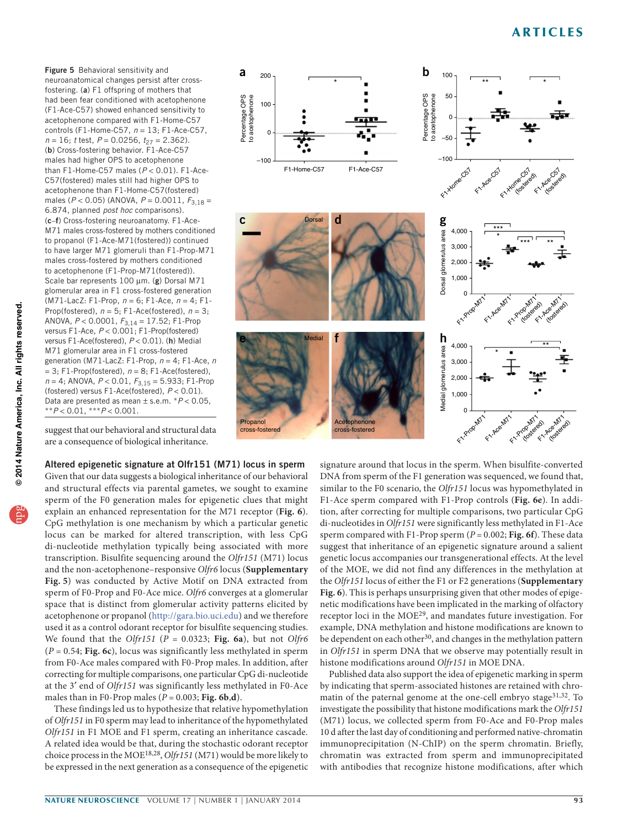<span id="page-4-0"></span>Figure 5 Behavioral sensitivity and neuroanatomical changes persist after crossfostering. (a) F1 offspring of mothers that had been fear conditioned with acetophenone (F1-Ace-C57) showed enhanced sensitivity to acetophenone compared with F1-Home-C57 controls (F1-Home-C57,  $n = 13$ ; F1-Ace-C57,  $n = 16$ ; t test,  $P = 0.0256$ ,  $t_{27} = 2.362$ ). (b) Cross-fostering behavior. F1-Ace-C57 males had higher OPS to acetophenone than F1-Home-C57 males ( $P < 0.01$ ). F1-Ace-C57(fostered) males still had higher OPS to acetophenone than F1-Home-C57(fostered) males ( $P < 0.05$ ) (ANOVA,  $P = 0.0011$ ,  $F_{3,18} =$ 6.874, planned post hoc comparisons). (c–f) Cross-fostering neuroanatomy. F1-Ace-M71 males cross-fostered by mothers conditioned to propanol (F1-Ace-M71(fostered)) continued to have larger M71 glomeruli than F1-Prop-M71 males cross-fostered by mothers conditioned to acetophenone (F1-Prop-M71(fostered)). Scale bar represents  $100 \mu m$ . (g) Dorsal M71 glomerular area in F1 cross-fostered generation (M71-LacZ: F1-Prop,  $n = 6$ ; F1-Ace,  $n = 4$ ; F1-Prop(fostered),  $n = 5$ ; F1-Ace(fostered),  $n = 3$ ; ANOVA,  $P < 0.0001$ ,  $F_{3,14} = 17.52$ ; F1-Prop versus F1-Ace,  $P < 0.001$ ; F1-Prop(fostered) versus F1-Ace(fostered),  $P < 0.01$ ). (h) Medial M71 glomerular area in F1 cross-fostered generation (M71-LacZ: F1-Prop,  $n = 4$ ; F1-Ace, n  $= 3; F1$ -Prop(fostered),  $n = 8; F1$ -Ace(fostered),  $n = 4$ ; ANOVA,  $P < 0.01$ ,  $F_{3,15} = 5.933$ ; F1-Prop (fostered) versus F1-Ace(fostered),  $P < 0.01$ ). Data are presented as mean  $\pm$  s.e.m. \* $P$  < 0.05,  $*+P < 0.01, **P < 0.001.$ 

suggest that our behavioral and structural data are a consequence of biological inheritance.

Altered epigenetic signature at Olfr151 (M71) locus in sperm Given that our data suggests a biological inheritance of our behavioral and structural effects via parental gametes, we sought to examine sperm of the F0 generation males for epigenetic clues that might explain an enhanced representation for the M71 receptor (**[Fig. 6](#page-5-0)**). CpG methylation is one mechanism by which a particular genetic locus can be marked for altered transcription, with less CpG di-nucleotide methylation typically being associated with more transcription. Bisulfite sequencing around the Olfr151 (M71) locus and the non-acetophenone–responsive Olfr6 locus (**Supplementary Fig. 5**) was conducted by Active Motif on DNA extracted from sperm of F0-Prop and F0-Ace mice. Olfr6 converges at a glomerular space that is distinct from glomerular activity patterns elicited by acetophenone or propanol ([http://gara.bio.uci.edu\)](http://gara.bio.uci.edu) and we therefore used it as a control odorant receptor for bisulfite sequencing studies. We found that the Olfr151 ( $P = 0.0323$ ; [Fig. 6a](#page-5-0)), but not Olfr6 (P = 0.54; **[Fig.](#page-5-0) 6c**), locus was significantly less methylated in sperm from F0-Ace males compared with F0-Prop males. In addition, after correcting for multiple comparisons, one particular CpG di-nucleotide at the 3` end of Olfr151 was significantly less methylated in F0-Ace males than in F0-Prop males  $(P = 0.003; Fig. 6b,d)$  $(P = 0.003; Fig. 6b,d)$  $(P = 0.003; Fig. 6b,d)$ .

These findings led us to hypothesize that relative hypomethylation of Olfr151 in F0 sperm may lead to inheritance of the hypomethylated Olfr151 in F1 MOE and F1 sperm, creating an inheritance cascade. A related idea would be that, during the stochastic odorant receptor choice process in the MO[E18,](#page-6-4)[28,](#page-7-7) Olfr151 (M71) would be more likely to be expressed in the next generation as a consequence of the epigenetic



signature around that locus in the sperm. When bisulfite-converted DNA from sperm of the F1 generation was sequenced, we found that, similar to the F0 scenario, the Olfr151 locus was hypomethylated in F1-Ace sperm compared with F1-Prop controls (**[Fig. 6e](#page-5-0)**). In addition, after correcting for multiple comparisons, two particular CpG di-nucleotides in Olfr151 were significantly less methylated in F1-Ace sperm compared with F1-Prop sperm  $(P = 0.002; Fig. 6f)$  $(P = 0.002; Fig. 6f)$  $(P = 0.002; Fig. 6f)$ . These data suggest that inheritance of an epigenetic signature around a salient genetic locus accompanies our transgenerational effects. At the level of the MOE, we did not find any differences in the methylation at the Olfr151 locus of either the F1 or F2 generations (**Supplementary Fig. 6**). This is perhaps unsurprising given that other modes of epigenetic modifications have been implicated in the marking of olfactory receptor loci in the MOE[29,](#page-7-8) and mandates future investigation. For example, DNA methylation and histone modifications are known to be dependent on each other<sup>[30](#page-7-9)</sup>, and changes in the methylation pattern in Olfr151 in sperm DNA that we observe may potentially result in histone modifications around Olfr151 in MOE DNA.

Published data also support the idea of epigenetic marking in sperm by indicating that sperm-associated histones are retained with chro-matin of the paternal genome at the one-cell embryo stage<sup>[31,](#page-7-10)[32](#page-7-11)</sup>. To investigate the possibility that histone modifications mark the Olfr151 (M71) locus, we collected sperm from F0-Ace and F0-Prop males 10 d after the last day of conditioning and performed native-chromatin immunoprecipitation (N-ChIP) on the sperm chromatin. Briefly, chromatin was extracted from sperm and immunoprecipitated with antibodies that recognize histone modifications, after which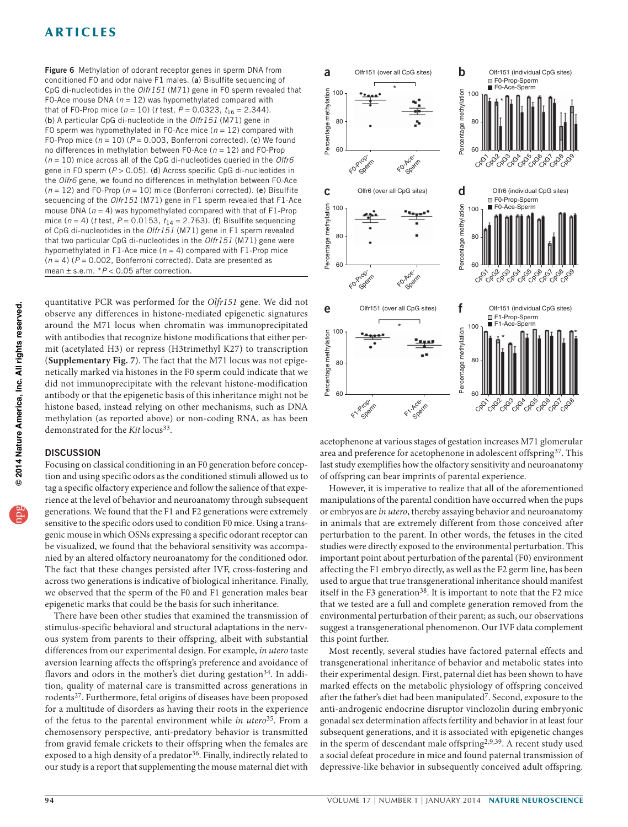<span id="page-5-0"></span>Figure 6 Methylation of odorant receptor genes in sperm DNA from conditioned F0 and odor naive F1 males. (a) Bisulfite sequencing of CpG di-nucleotides in the Olfr151 (M71) gene in F0 sperm revealed that F0-Ace mouse DNA ( $n = 12$ ) was hypomethylated compared with that of F0-Prop mice ( $n = 10$ ) (*t* test,  $P = 0.0323$ ,  $t_{16} = 2.344$ ). (b) A particular CpG di-nucleotide in the Olfr151 (M71) gene in F0 sperm was hypomethylated in F0-Ace mice ( $n = 12$ ) compared with F0-Prop mice ( $n = 10$ ) ( $P = 0.003$ , Bonferroni corrected). (c) We found no differences in methylation between FO-Ace ( $n = 12$ ) and FO-Prop  $(n = 10)$  mice across all of the CpG di-nucleotides queried in the Olfr6 gene in FO sperm ( $P > 0.05$ ). (d) Across specific CpG di-nucleotides in the Olfr6 gene, we found no differences in methylation between F0-Ace  $(n = 12)$  and FO-Prop  $(n = 10)$  mice (Bonferroni corrected). (e) Bisulfite sequencing of the Olfr151 (M71) gene in F1 sperm revealed that F1-Ace mouse DNA ( $n = 4$ ) was hypomethylated compared with that of F1-Prop mice ( $n = 4$ ) (t test,  $P = 0.0153$ ,  $t_{14} = 2.763$ ). (f) Bisulfite sequencing of CpG di-nucleotides in the Olfr151 (M71) gene in F1 sperm revealed that two particular CpG di-nucleotides in the Olfr151 (M71) gene were hypomethylated in F1-Ace mice ( $n = 4$ ) compared with F1-Prop mice  $(n = 4)$  ( $P = 0.002$ , Bonferroni corrected). Data are presented as mean  $\pm$  s.e.m.  $*P < 0.05$  after correction.

quantitative PCR was performed for the Olfr151 gene. We did not observe any differences in histone-mediated epigenetic signatures around the M71 locus when chromatin was immunoprecipitated with antibodies that recognize histone modifications that either permit (acetylated H3) or repress (H3trimethyl K27) to transcription (**Supplementary Fig. 7**). The fact that the M71 locus was not epigenetically marked via histones in the F0 sperm could indicate that we did not immunoprecipitate with the relevant histone-modification antibody or that the epigenetic basis of this inheritance might not be histone based, instead relying on other mechanisms, such as DNA methylation (as reported above) or non-coding RNA, as has been demonstrated for the Kit locus<sup>33</sup>.

### **DISCUSSION**

Focusing on classical conditioning in an F0 generation before conception and using specific odors as the conditioned stimuli allowed us to tag a specific olfactory experience and follow the salience of that experience at the level of behavior and neuroanatomy through subsequent generations. We found that the F1 and F2 generations were extremely sensitive to the specific odors used to condition F0 mice. Using a transgenic mouse in which OSNs expressing a specific odorant receptor can be visualized, we found that the behavioral sensitivity was accompanied by an altered olfactory neuroanatomy for the conditioned odor. The fact that these changes persisted after IVF, cross-fostering and across two generations is indicative of biological inheritance. Finally, we observed that the sperm of the F0 and F1 generation males bear epigenetic marks that could be the basis for such inheritance.

There have been other studies that examined the transmission of stimulus-specific behavioral and structural adaptations in the nervous system from parents to their offspring, albeit with substantial differences from our experimental design. For example, in utero taste aversion learning affects the offspring's preference and avoidance of flavors and odors in the mother's diet during gestation<sup>34</sup>. In addition, quality of maternal care is transmitted across generations in rodents<sup>[27](#page-7-6)</sup>. Furthermore, fetal origins of diseases have been proposed for a multitude of disorders as having their roots in the experience of the fetus to the parental environment while in utero<sup>35</sup>. From a chemosensory perspective, anti-predatory behavior is transmitted from gravid female crickets to their offspring when the females are exposed to a high density of a predator<sup>[36](#page-7-15)</sup>. Finally, indirectly related to our study is a report that supplementing the mouse maternal diet with



acetophenone at various stages of gestation increases M71 glomerular area and preference for acetophenone in adolescent offspring[37](#page-7-16). This last study exemplifies how the olfactory sensitivity and neuroanatomy of offspring can bear imprints of parental experience.

However, it is imperative to realize that all of the aforementioned manipulations of the parental condition have occurred when the pups or embryos are in utero, thereby assaying behavior and neuroanatomy in animals that are extremely different from those conceived after perturbation to the parent. In other words, the fetuses in the cited studies were directly exposed to the environmental perturbation. This important point about perturbation of the parental (F0) environment affecting the F1 embryo directly, as well as the F2 germ line, has been used to argue that true transgenerational inheritance should manifest itself in the F3 generation<sup>38</sup>. It is important to note that the F2 mice that we tested are a full and complete generation removed from the environmental perturbation of their parent; as such, our observations suggest a transgenerational phenomenon. Our IVF data complement this point further.

Most recently, several studies have factored paternal effects and transgenerational inheritance of behavior and metabolic states into their experimental design. First, paternal diet has been shown to have marked effects on the metabolic physiology of offspring conceived after the father's diet had been manipulated<sup>7</sup>. Second, exposure to the anti-androgenic endocrine disruptor vinclozolin during embryonic gonadal sex determination affects fertility and behavior in at least four subsequent generations, and it is associated with epigenetic changes in the sperm of descendant male offspring<sup>[2,](#page-6-1)[9,](#page-6-8)39</sup>. A recent study used a social defeat procedure in mice and found paternal transmission of depressive-like behavior in subsequently conceived adult offspring.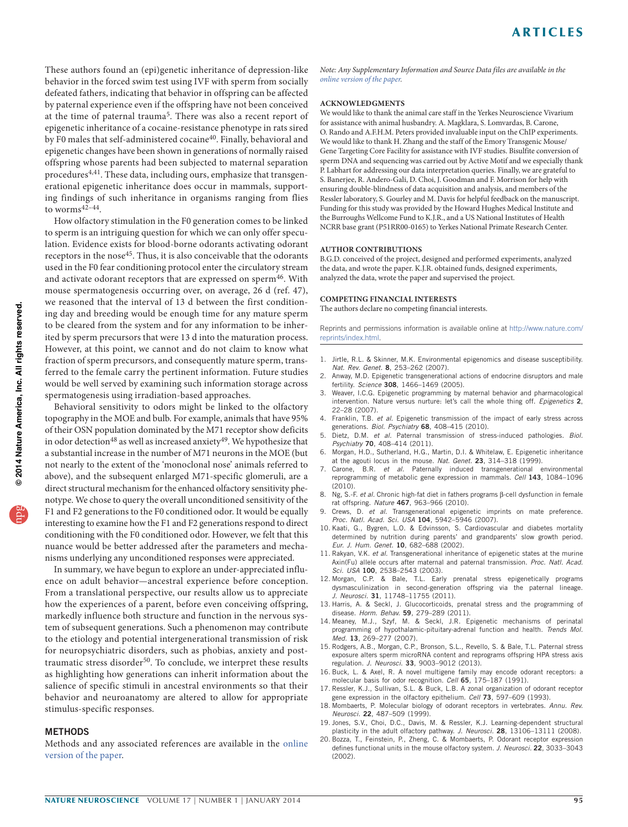These authors found an (epi)genetic inheritance of depression-like behavior in the forced swim test using IVF with sperm from socially defeated fathers, indicating that behavior in offspring can be affected by paternal experience even if the offspring have not been conceived at the time of paternal trauma[5.](#page-6-9) There was also a recent report of epigenetic inheritance of a cocaine-resistance phenotype in rats sired by F0 males that self-administered cocaine<sup>40</sup>. Finally, behavioral and epigenetic changes have been shown in generations of normally raised offspring whose parents had been subjected to maternal separation procedures<sup>[4,](#page-6-10)[41](#page-7-20)</sup>. These data, including ours, emphasize that transgenerational epigenetic inheritance does occur in mammals, supporting findings of such inheritance in organisms ranging from flies to worms $42-44$ .

How olfactory stimulation in the F0 generation comes to be linked to sperm is an intriguing question for which we can only offer speculation. Evidence exists for blood-borne odorants activating odorant receptors in the nose<sup>[45](#page-7-23)</sup>. Thus, it is also conceivable that the odorants used in the F0 fear conditioning protocol enter the circulatory stream and activate odorant receptors that are expressed on sperm<sup>[46](#page-7-24)</sup>. With mouse spermatogenesis occurring over, on average, 26 d (ref. [47](#page-7-25)), we reasoned that the interval of 13 d between the first conditioning day and breeding would be enough time for any mature sperm to be cleared from the system and for any information to be inherited by sperm precursors that were 13 d into the maturation process. However, at this point, we cannot and do not claim to know what fraction of sperm precursors, and consequently mature sperm, transferred to the female carry the pertinent information. Future studies would be well served by examining such information storage across spermatogenesis using irradiation-based approaches.

Behavioral sensitivity to odors might be linked to the olfactory topography in the MOE and bulb. For example, animals that have 95% of their OSN population dominated by the M71 receptor show deficits in odor detection<sup>48</sup> as well as increased anxiety<sup>[49](#page-7-27)</sup>. We hypothesize that a substantial increase in the number of M71 neurons in the MOE (but not nearly to the extent of the 'monoclonal nose' animals referred to above), and the subsequent enlarged M71-specific glomeruli, are a direct structural mechanism for the enhanced olfactory sensitivity phenotype. We chose to query the overall unconditioned sensitivity of the F1 and F2 generations to the F0 conditioned odor. It would be equally interesting to examine how the F1 and F2 generations respond to direct conditioning with the F0 conditioned odor. However, we felt that this nuance would be better addressed after the parameters and mechanisms underlying any unconditioned responses were appreciated.

In summary, we have begun to explore an under-appreciated influence on adult behavior—ancestral experience before conception. From a translational perspective, our results allow us to appreciate how the experiences of a parent, before even conceiving offspring, markedly influence both structure and function in the nervous system of subsequent generations. Such a phenomenon may contribute to the etiology and potential intergenerational transmission of risk for neuropsychiatric disorders, such as phobias, anxiety and post-traumatic stress disorder<sup>[50](#page-7-28)</sup>. To conclude, we interpret these results as highlighting how generations can inherit information about the salience of specific stimuli in ancestral environments so that their behavior and neuroanatomy are altered to allow for appropriate stimulus-specific responses.

### **METHODS**

Methods and any associated references are available in the [online](http://www.nature.com/doifinder/10.1038/nn.3594) [version of the paper](http://www.nature.com/doifinder/10.1038/nn.3594).

Note: Any Supplementary Information and Source Data files are available in the [online version](http://www.nature.com/doifinder/10.1038/nn.3594) of the paper.

#### **ACKNOWLEDGMENTS**

We would like to thank the animal care staff in the Yerkes Neuroscience Vivarium for assistance with animal husbandry. A. Magklara, S. Lomvardas, B. Carone, O. Rando and A.F.H.M. Peters provided invaluable input on the ChIP experiments. We would like to thank H. Zhang and the staff of the Emory Transgenic Mouse/ Gene Targeting Core Facility for assistance with IVF studies. Bisulfite conversion of sperm DNA and sequencing was carried out by Active Motif and we especially thank P. Labhart for addressing our data interpretation queries. Finally, we are grateful to S. Banerjee, R. Andero-Gali, D. Choi, J. Goodman and F. Morrison for help with ensuring double-blindness of data acquisition and analysis, and members of the Ressler laboratory, S. Gourley and M. Davis for helpful feedback on the manuscript. Funding for this study was provided by the Howard Hughes Medical Institute and the Burroughs Wellcome Fund to K.J.R., and a US National Institutes of Health NCRR base grant (P51RR00-0165) to Yerkes National Primate Research Center.

#### **AUTHOR CONTRIBUTIONS**

B.G.D. conceived of the project, designed and performed experiments, analyzed the data, and wrote the paper. K.J.R. obtained funds, designed experiments, analyzed the data, wrote the paper and supervised the project.

#### **COMPETING FINANCIAL INTERESTS**

The authors declare no competing financial interests.

Reprints and permissions information is available online at [http://www.nature.com/](http://www.nature.com/reprints/index.html) [reprints/index.html.](http://www.nature.com/reprints/index.html)

- <span id="page-6-0"></span>1. Jirtle, R.L. & Skinner, M.K. Environmental epigenomics and disease susceptibility. Nat. Rev. Genet. 8, 253-262 (2007).
- <span id="page-6-1"></span>2. Anway, M.D. Epigenetic transgenerational actions of endocrine disruptors and male fertility. Science 308, 1466–1469 (2005).
- 3. Weaver, I.C.G. Epigenetic programming by maternal behavior and pharmacological intervention. Nature versus nurture: let's call the whole thing off. Epigenetics 2, 22–28 (2007).
- <span id="page-6-10"></span>4. Franklin, T.B. et al. Epigenetic transmission of the impact of early stress across generations. Biol. Psychiatry 68, 408-415 (2010).
- <span id="page-6-9"></span>5. Dietz, D.M. et al. Paternal transmission of stress-induced pathologies. Biol. Psychiatry 70, 408-414 (2011).
- 6. Morgan, H.D., Sutherland, H.G., Martin, D.I. & Whitelaw, E. Epigenetic inheritance at the agouti locus in the mouse. Nat. Genet. 23, 314-318 (1999).
- <span id="page-6-7"></span>7. Carone, B.R. et al. Paternally induced transgenerational environmental reprogramming of metabolic gene expression in mammals. Cell 143, 1084-1096  $(2010)$
- 8. Ng, S.-F. et al. Chronic high-fat diet in fathers programs  $\beta$ -cell dysfunction in female rat offspring. Nature 467, 963–966 (2010).
- <span id="page-6-8"></span>Crews, D. et al. Transgenerational epigenetic imprints on mate preference. Proc. Natl. Acad. Sci. USA 104, 5942–5946 (2007).
- 10. Kaati, G., Bygren, L.O. & Edvinsson, S. Cardiovascular and diabetes mortality determined by nutrition during parents' and grandparents' slow growth period. Eur. J. Hum. Genet. 10, 682–688 (2002).
- 11. Rakyan, V.K. et al. Transgenerational inheritance of epigenetic states at the murine Axin(Fu) allele occurs after maternal and paternal transmission. Proc. Natl. Acad. Sci. USA 100, 2538-2543 (2003).
- 12. Morgan, C.P. & Bale, T.L. Early prenatal stress epigenetically programs dysmasculinization in second-generation offspring via the paternal lineage. J. Neurosci. 31, 11748–11755 (2011).
- 13. Harris, A. & Seckl, J. Glucocorticoids, prenatal stress and the programming of disease. Horm. Behav. 59, 279–289 (2011).<br>14. Meaney, M.J., Szyf, M. & Seckl, J.R. Epigenetic mechanisms of perinatal
- programming of hypothalamic-pituitary-adrenal function and health. Trends Mol. Med. 13. 269-277 (2007).
- <span id="page-6-2"></span>15. Rodgers, A.B., Morgan, C.P., Bronson, S.L., Revello, S. & Bale, T.L. Paternal stress exposure alters sperm microRNA content and reprograms offspring HPA stress axis regulation. J. Neurosci. 33, 9003-9012 (2013).
- <span id="page-6-3"></span>16. Buck, L. & Axel, R. A novel multigene family may encode odorant receptors: a molecular basis for odor recognition. Cell 65, 175–187 (1991).
- 17. Ressler, K.J., Sullivan, S.L. & Buck, L.B. A zonal organization of odorant receptor gene expression in the olfactory epithelium. Cell 73, 597-609 (1993).
- <span id="page-6-4"></span>18. Mombaerts, P. Molecular biology of odorant receptors in vertebrates. Annu. Rev. Neurosci. 22, 487–509 (1999).
- <span id="page-6-5"></span>19. Jones, S.V., Choi, D.C., Davis, M. & Ressler, K.J. Learning-dependent structural plasticity in the adult olfactory pathway. J. Neurosci. 28, 13106-13111 (2008).
- <span id="page-6-6"></span>20. Bozza, T., Feinstein, P., Zheng, C. & Mombaerts, P. Odorant receptor expression defines functional units in the mouse olfactory system. J. Neurosci. 22, 3033-3043 (2002).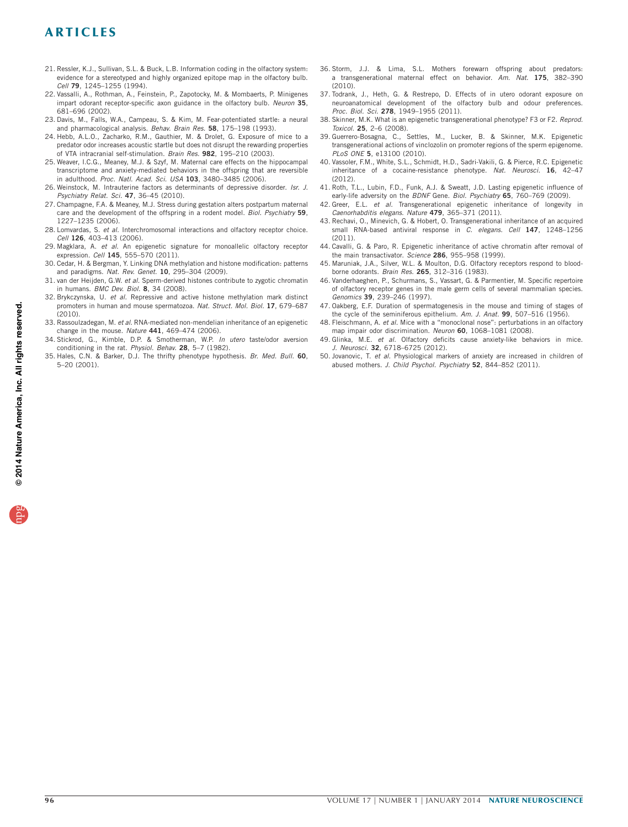- <span id="page-7-0"></span>21. Ressler, K.J., Sullivan, S.L. & Buck, L.B. Information coding in the olfactory system: evidence for a stereotyped and highly organized epitope map in the olfactory bulb. Cell 79, 1245–1255 (1994).
- <span id="page-7-1"></span>22. Vassalli, A., Rothman, A., Feinstein, P., Zapotocky, M. & Mombaerts, P. Minigenes impart odorant receptor-specific axon guidance in the olfactory bulb. Neuron 35, 681–696 (2002).
- <span id="page-7-2"></span>23. Davis, M., Falls, W.A., Campeau, S. & Kim, M. Fear-potentiated startle: a neural and pharmacological analysis. Behav. Brain Res. 58, 175-198 (1993).
- <span id="page-7-3"></span>24. Hebb, A.L.O., Zacharko, R.M., Gauthier, M. & Drolet, G. Exposure of mice to a predator odor increases acoustic startle but does not disrupt the rewarding properties of VTA intracranial self-stimulation. Brain Res. 982, 195–210 (2003).
- <span id="page-7-4"></span>25. Weaver, I.C.G., Meaney, M.J. & Szyf, M. Maternal care effects on the hippocampal transcriptome and anxiety-mediated behaviors in the offspring that are reversible in adulthood. Proc. Natl. Acad. Sci. USA 103, 3480-3485 (2006).
- <span id="page-7-5"></span>26. Weinstock, M. Intrauterine factors as determinants of depressive disorder. Isr. J. Psychiatry Relat. Sci. 47, 36–45 (2010).
- <span id="page-7-6"></span>27. Champagne, F.A. & Meaney, M.J. Stress during gestation alters postpartum maternal care and the development of the offspring in a rodent model. Biol. Psychiatry 59, 1227–1235 (2006).
- <span id="page-7-7"></span>28. Lomvardas, S. et al. Interchromosomal interactions and olfactory receptor choice. Cell 126, 403-413 (2006).
- <span id="page-7-8"></span>29. Magklara, A. et al. An epigenetic signature for monoallelic olfactory receptor expression. Cell 145, 555-570 (2011).
- <span id="page-7-9"></span>30. Cedar, H. & Bergman, Y. Linking DNA methylation and histone modification: patterns and paradigms. Nat. Rev. Genet. 10, 295-304 (2009).
- <span id="page-7-10"></span>31. van der Heijden, G.W. et al. Sperm-derived histones contribute to zygotic chromatin in humans. BMC Dev. Biol. 8, 34 (2008).
- <span id="page-7-11"></span>32. Brykczynska, U. et al. Repressive and active histone methylation mark distinct promoters in human and mouse spermatozoa. Nat. Struct. Mol. Biol. 17, 679–687 (2010).
- <span id="page-7-12"></span>33. Rassoulzadegan, M. et al. RNA-mediated non-mendelian inheritance of an epigenetic change in the mouse. Nature 441, 469–474 (2006).
- <span id="page-7-13"></span>34. Stickrod, G., Kimble, D.P. & Smotherman, W.P. In utero taste/odor aversion conditioning in the rat. Physiol. Behav. 28, 5–7 (1982).
- <span id="page-7-14"></span>35. Hales, C.N. & Barker, D.J. The thrifty phenotype hypothesis. Br. Med. Bull. 60, 5–20 (2001).
- <span id="page-7-15"></span>36. Storm, J.J. & Lima, S.L. Mothers forewarn offspring about predators: a transgenerational maternal effect on behavior. Am. Nat. 175, 382–390 (2010).
- <span id="page-7-16"></span>37. Todrank, J., Heth, G. & Restrepo, D. Effects of in utero odorant exposure on neuroanatomical development of the olfactory bulb and odour preferences. Proc. Biol. Sci. 278, 1949–1955 (2011).
- <span id="page-7-17"></span>38. Skinner, M.K. What is an epigenetic transgenerational phenotype? F3 or F2. Reprod. Toxicol. 25, 2–6 (2008).
- <span id="page-7-18"></span>39. Guerrero-Bosagna, C., Settles, M., Lucker, B. & Skinner, M.K. Epigenetic transgenerational actions of vinclozolin on promoter regions of the sperm epigenome. PLoS ONE 5, e13100 (2010).
- <span id="page-7-19"></span>40. Vassoler, F.M., White, S.L., Schmidt, H.D., Sadri-Vakili, G. & Pierce, R.C. Epigenetic inheritance of a cocaine-resistance phenotype. Nat. Neurosci. 16, 42–47 (2012).
- <span id="page-7-20"></span>41. Roth, T.L., Lubin, F.D., Funk, A.J. & Sweatt, J.D. Lasting epigenetic influence of early-life adversity on the BDNF Gene. Biol. Psychiatry 65, 760-769 (2009).
- <span id="page-7-21"></span>42. Greer, E.L. et al. Transgenerational epigenetic inheritance of longevity in Caenorhabditis elegans. Nature 479, 365–371 (2011).
- 43. Rechavi, O., Minevich, G. & Hobert, O. Transgenerational inheritance of an acquired small RNA-based antiviral response in C. elegans. Cell 147, 1248-1256  $(2011)$
- <span id="page-7-22"></span>44. Cavalli, G. & Paro, R. Epigenetic inheritance of active chromatin after removal of the main transactivator. Science 286, 955-958 (1999).
- <span id="page-7-23"></span>45. Maruniak, J.A., Silver, W.L. & Moulton, D.G. Olfactory receptors respond to bloodborne odorants. Brain Res. 265, 312–316 (1983).
- <span id="page-7-24"></span>46. Vanderhaeghen, P., Schurmans, S., Vassart, G. & Parmentier, M. Specific repertoire of olfactory receptor genes in the male germ cells of several mammalian species. Genomics 39, 239–246 (1997).
- <span id="page-7-25"></span>47. Oakberg, E.F. Duration of spermatogenesis in the mouse and timing of stages of the cycle of the seminiferous epithelium. Am. J. Anat. 99, 507-516 (1956).
- <span id="page-7-26"></span>48. Fleischmann, A. et al. Mice with a "monoclonal nose": perturbations in an olfactory map impair odor discrimination. Neuron 60, 1068–1081 (2008).
- <span id="page-7-27"></span>49. Glinka, M.E. et al. Olfactory deficits cause anxiety-like behaviors in mice. J. Neurosci. 32, 6718-6725 (2012).
- <span id="page-7-28"></span>50. Jovanovic, T. et al. Physiological markers of anxiety are increased in children of abused mothers. J. Child Psychol. Psychiatry 52, 844-852 (2011).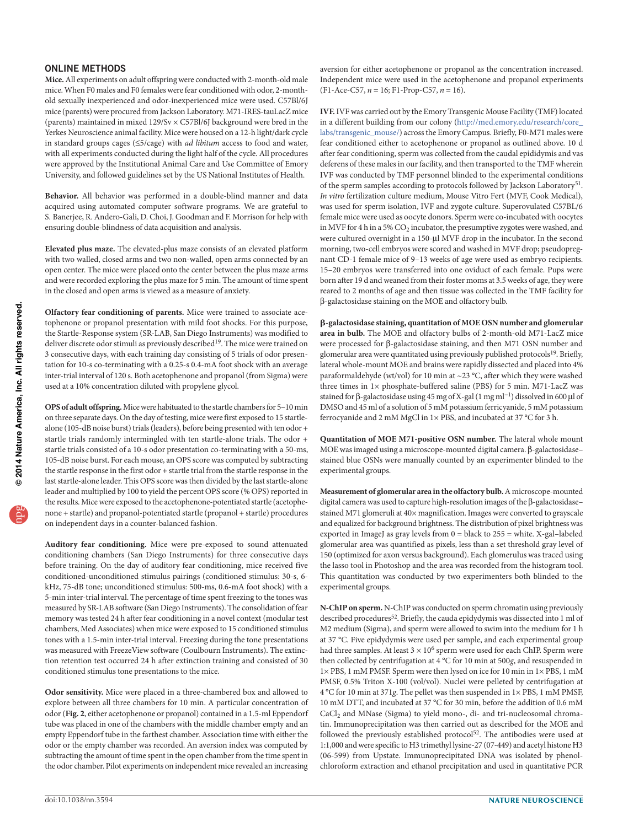### ONLINE METHODS

**Mice.** All experiments on adult offspring were conducted with 2-month-old male mice. When F0 males and F0 females were fear conditioned with odor, 2-monthold sexually inexperienced and odor-inexperienced mice were used. C57Bl/6J mice (parents) were procured from Jackson Laboratory. M71-IRES-tauLacZ mice (parents) maintained in mixed 129/Sv × C57Bl/6J background were bred in the Yerkes Neuroscience animal facility. Mice were housed on a 12-h light/dark cycle in standard groups cages ( $\leq$ 5/cage) with *ad libitum* access to food and water, with all experiments conducted during the light half of the cycle. All procedures were approved by the Institutional Animal Care and Use Committee of Emory University, and followed guidelines set by the US National Institutes of Health.

**Behavior.** All behavior was performed in a double-blind manner and data acquired using automated computer software programs. We are grateful to S. Banerjee, R. Andero-Gali, D. Choi, J. Goodman and F. Morrison for help with ensuring double-blindness of data acquisition and analysis.

**Elevated plus maze.** The elevated-plus maze consists of an elevated platform with two walled, closed arms and two non-walled, open arms connected by an open center. The mice were placed onto the center between the plus maze arms and were recorded exploring the plus maze for 5 min. The amount of time spent in the closed and open arms is viewed as a measure of anxiety.

**Olfactory fear conditioning of parents.** Mice were trained to associate acetophenone or propanol presentation with mild foot shocks. For this purpose, the Startle-Response system (SR-LAB, San Diego Instruments) was modified to deliver discrete odor stimuli as previously described<sup>19</sup>. The mice were trained on 3 consecutive days, with each training day consisting of 5 trials of odor presentation for 10-s co-terminating with a 0.25-s 0.4-mA foot shock with an average inter-trial interval of 120 s. Both acetophenone and propanol (from Sigma) were used at a 10% concentration diluted with propylene glycol.

**OPS of adult offspring.** Mice were habituated to the startle chambers for 5–10 min on three separate days. On the day of testing, mice were first exposed to 15 startlealone (105-dB noise burst) trials (leaders), before being presented with ten odor + startle trials randomly intermingled with ten startle-alone trials. The odor + startle trials consisted of a 10-s odor presentation co-terminating with a 50-ms, 105-dB noise burst. For each mouse, an OPS score was computed by subtracting the startle response in the first odor + startle trial from the startle response in the last startle-alone leader. This OPS score was then divided by the last startle-alone leader and multiplied by 100 to yield the percent OPS score (% OPS) reported in the results. Mice were exposed to the acetophenone-potentiated startle (acetophenone + startle) and propanol-potentiated startle (propanol + startle) procedures on independent days in a counter-balanced fashion.

**Auditory fear conditioning.** Mice were pre-exposed to sound attenuated conditioning chambers (San Diego Instruments) for three consecutive days before training. On the day of auditory fear conditioning, mice received five conditioned-unconditioned stimulus pairings (conditioned stimulus: 30-s, 6 kHz, 75-dB tone; unconditioned stimulus: 500-ms, 0.6-mA foot shock) with a 5-min inter-trial interval. The percentage of time spent freezing to the tones was measured by SR-LAB software (San Diego Instruments). The consolidation of fear memory was tested 24 h after fear conditioning in a novel context (modular test chambers, Med Associates) when mice were exposed to 15 conditioned stimulus tones with a 1.5-min inter-trial interval. Freezing during the tone presentations was measured with FreezeView software (Coulbourn Instruments). The extinction retention test occurred 24 h after extinction training and consisted of 30 conditioned stimulus tone presentations to the mice.

**Odor sensitivity.** Mice were placed in a three-chambered box and allowed to explore between all three chambers for 10 min. A particular concentration of odor (**[Fig. 2](#page-1-1)**, either acetophenone or propanol) contained in a 1.5-ml Eppendorf tube was placed in one of the chambers with the middle chamber empty and an empty Eppendorf tube in the farthest chamber. Association time with either the odor or the empty chamber was recorded. An aversion index was computed by subtracting the amount of time spent in the open chamber from the time spent in the odor chamber. Pilot experiments on independent mice revealed an increasing aversion for either acetophenone or propanol as the concentration increased. Independent mice were used in the acetophenone and propanol experiments  $(F1-Ace-C57, n = 16; F1-Prop-C57, n = 16).$ 

**IVF.** IVF was carried out by the Emory Transgenic Mouse Facility (TMF) located in a different building from our colony [\(http://med.emory.edu/research/core\\_](http://med.emory.edu/research/core_labs/transgenic_mouse/) [labs/transgenic\\_mouse/\)](http://med.emory.edu/research/core_labs/transgenic_mouse/) across the Emory Campus. Briefly, F0-M71 males were fear conditioned either to acetophenone or propanol as outlined above. 10 d after fear conditioning, sperm was collected from the caudal epididymis and vas deferens of these males in our facility, and then transported to the TMF wherein IVF was conducted by TMF personnel blinded to the experimental conditions of the sperm samples according to protocols followed by Jackson Laboratory[51.](#page-9-0) In vitro fertilization culture medium, Mouse Vitro Fert (MVF, Cook Medical), was used for sperm isolation, IVF and zygote culture. Superovulated C57BL/6 female mice were used as oocyte donors. Sperm were co-incubated with oocytes in MVF for 4 h in a 5%  $CO<sub>2</sub>$  incubator, the presumptive zygotes were washed, and were cultured overnight in a 150-µl MVF drop in the incubator. In the second morning, two-cell embryos were scored and washed in MVF drop; pseudopregnant CD-1 female mice of 9–13 weeks of age were used as embryo recipients. 15–20 embryos were transferred into one oviduct of each female. Pups were born after 19 d and weaned from their foster moms at 3.5 weeks of age, they were reared to 2 months of age and then tissue was collected in the TMF facility for B-galactosidase staining on the MOE and olfactory bulb.

b**-galactosidase staining, quantitation of MOE OSN number and glomerular area in bulb.** The MOE and olfactory bulbs of 2-month-old M71-LacZ mice were processed for  $\beta$ -galactosidase staining, and then M71 OSN number and glomerular area were quantitated using previously published protocols<sup>[19](#page-6-5)</sup>. Briefly, lateral whole-mount MOE and brains were rapidly dissected and placed into 4% paraformaldehyde (wt/vol) for 10 min at ~23  $^{\circ}$ C, after which they were washed three times in 1× phosphate-buffered saline (PBS) for 5 min. M71-LacZ was stained for β-galactosidase using 45 mg of X-gal (1 mg ml<sup>-1</sup>) dissolved in 600 µl of DMSO and 45 ml of a solution of 5 mM potassium ferricyanide, 5 mM potassium ferrocyanide and 2 mM MgCl in 1× PBS, and incubated at 37 °C for 3 h.

**Quantitation of MOE M71-positive OSN number.** The lateral whole mount MOE was imaged using a microscope-mounted digital camera. B-galactosidase– stained blue OSNs were manually counted by an experimenter blinded to the experimental groups.

**Measurement of glomerular area in the olfactory bulb.** A microscope-mounted digital camera was used to capture high-resolution images of the B-galactosidase– stained M71 glomeruli at 40× magnification. Images were converted to grayscale and equalized for background brightness. The distribution of pixel brightness was exported in ImageJ as gray levels from 0 = black to 255 = white. X-gal–labeled glomerular area was quantified as pixels, less than a set threshold gray level of 150 (optimized for axon versus background). Each glomerulus was traced using the lasso tool in Photoshop and the area was recorded from the histogram tool. This quantitation was conducted by two experimenters both blinded to the experimental groups.

**N-ChIP on sperm.** N-ChIP was conducted on sperm chromatin using previously described procedures<sup>52</sup>. Briefly, the cauda epidydymis was dissected into 1 ml of M2 medium (Sigma), and sperm were allowed to swim into the medium for 1 h at 37 °C. Five epidydymis were used per sample, and each experimental group had three samples. At least  $3 \times 10^6$  sperm were used for each ChIP. Sperm were then collected by centrifugation at 4 °C for 10 min at 500g, and resuspended in 1× PBS, 1 mM PMSF. Sperm were then lysed on ice for 10 min in 1× PBS, 1 mM PMSF, 0.5% Triton X-100 (vol/vol). Nuclei were pelleted by centrifugation at 4 °C for 10 min at 371g. The pellet was then suspended in 1× PBS, 1 mM PMSF, 10 mM DTT, and incubated at 37 °C for 30 min, before the addition of 0.6 mM CaCl<sub>2</sub> and MNase (Sigma) to yield mono-, di- and tri-nucleosomal chromatin. Immunoprecipitation was then carried out as described for the MOE and followed the previously established protocol<sup>[52](#page-9-1)</sup>. The antibodies were used at 1:1,000 and were specific to H3 trimethyl lysine-27 (07-449) and acetyl histone H3 (06-599) from Upstate. Immunoprecipitated DNA was isolated by phenolchloroform extraction and ethanol precipitation and used in quantitative PCR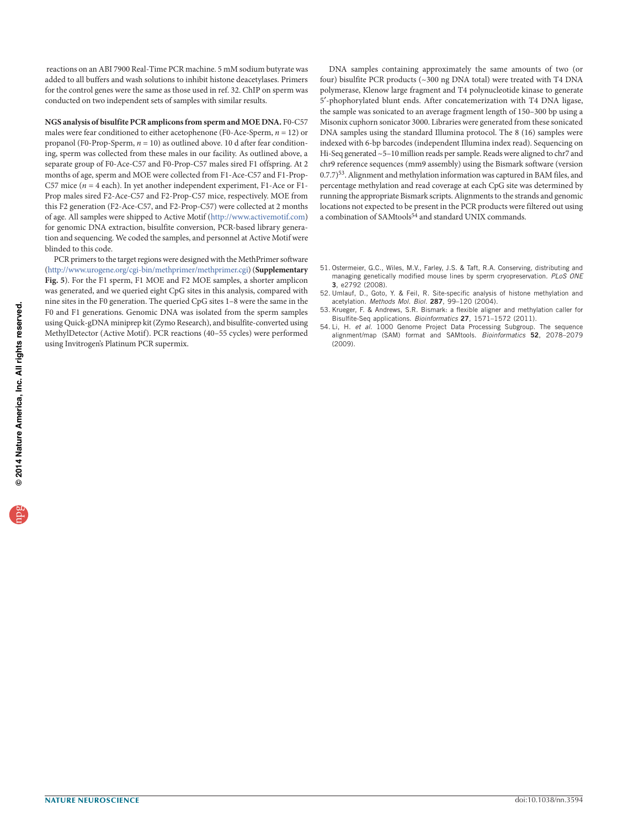reactions on an ABI 7900 Real-Time PCR machine. 5 mM sodium butyrate was added to all buffers and wash solutions to inhibit histone deacetylases. Primers for the control genes were the same as those used in ref. [32.](#page-7-11) ChIP on sperm was conducted on two independent sets of samples with similar results.

**NGS analysis of bisulfite PCR amplicons from sperm and MOE DNA.** F0-C57 males were fear conditioned to either acetophenone (F0-Ace-Sperm,  $n = 12$ ) or propanol (F0-Prop-Sperm,  $n = 10$ ) as outlined above. 10 d after fear conditioning, sperm was collected from these males in our facility. As outlined above, a separate group of F0-Ace-C57 and F0-Prop-C57 males sired F1 offspring. At 2 months of age, sperm and MOE were collected from F1-Ace-C57 and F1-Prop-C57 mice ( $n = 4$  each). In yet another independent experiment, F1-Ace or F1-Prop males sired F2-Ace-C57 and F2-Prop-C57 mice, respectively. MOE from this F2 generation (F2-Ace-C57, and F2-Prop-C57) were collected at 2 months of age. All samples were shipped to Active Motif [\(http://www.activemotif.com\)](http://www.activemotif.com) for genomic DNA extraction, bisulfite conversion, PCR-based library generation and sequencing. We coded the samples, and personnel at Active Motif were blinded to this code.

PCR primers to the target regions were designed with the MethPrimer software [\(http://www.urogene.org/cgi-bin/methprimer/methprimer.cgi\)](http://www.urogene.org/cgi-bin/methprimer/methprimer.cgi) (**Supplementary Fig. 5**). For the F1 sperm, F1 MOE and F2 MOE samples, a shorter amplicon was generated, and we queried eight CpG sites in this analysis, compared with nine sites in the F0 generation. The queried CpG sites 1–8 were the same in the F0 and F1 generations. Genomic DNA was isolated from the sperm samples using Quick-gDNA miniprep kit (Zymo Research), and bisulfite-converted using MethylDetector (Active Motif). PCR reactions (40–55 cycles) were performed using Invitrogen's Platinum PCR supermix.

DNA samples containing approximately the same amounts of two (or four) bisulfite PCR products (~300 ng DNA total) were treated with T4 DNA polymerase, Klenow large fragment and T4 polynucleotide kinase to generate 5`-phophorylated blunt ends. After concatemerization with T4 DNA ligase, the sample was sonicated to an average fragment length of 150–300 bp using a Misonix cuphorn sonicator 3000. Libraries were generated from these sonicated DNA samples using the standard Illumina protocol. The 8 (16) samples were indexed with 6-bp barcodes (independent Illumina index read). Sequencing on Hi-Seq generated ~5–10 million reads per sample. Reads were aligned to chr7 and chr9 reference sequences (mm9 assembly) using the Bismark software (version 0.7.7)53. Alignment and methylation information was captured in BAM files, and percentage methylation and read coverage at each CpG site was determined by running the appropriate Bismark scripts. Alignments to the strands and genomic locations not expected to be present in the PCR products were filtered out using a combination of SAMtools<sup>54</sup> and standard UNIX commands.

- <span id="page-9-0"></span>51. Ostermeier, G.C., Wiles, M.V., Farley, J.S. & Taft, R.A. Conserving, distributing and managing genetically modified mouse lines by sperm cryopreservation. PLoS ONE 3, e2792 (2008).
- <span id="page-9-1"></span>52. Umlauf, D., Goto, Y. & Feil, R. Site-specific analysis of histone methylation and acetylation. Methods Mol. Biol. 287, 99–120 (2004).
- 53. Krueger, F. & Andrews, S.R. Bismark: a flexible aligner and methylation caller for Bisulfite-Seq applications. Bioinformatics 27, 1571–1572 (2011).
- 54. Li, H. et al. 1000 Genome Project Data Processing Subgroup. The sequence alignment/map (SAM) format and SAMtools. Bioinformatics 52, 2078-2079 (2009).